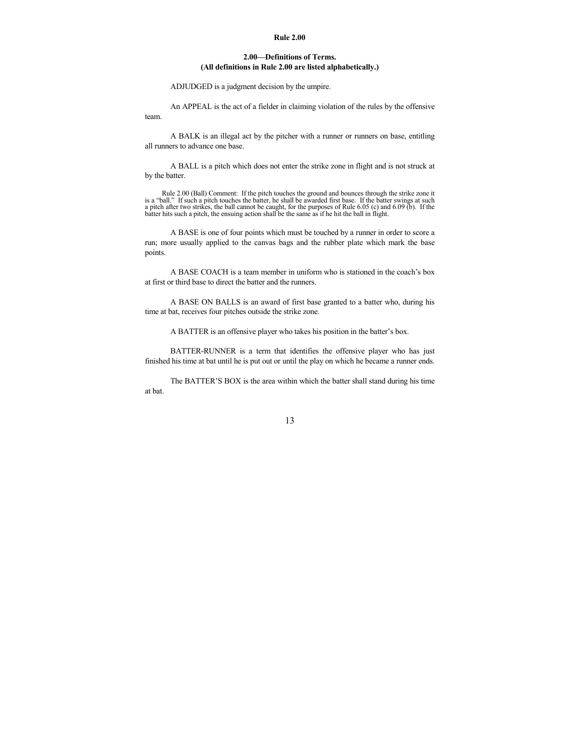# 2.00—Definitions of Terms. (All definitions in Rule 2.00 are listed alphabetically.)

ADJUDGED is a judgment decision by the umpire.

 An APPEAL is the act of a fielder in claiming violation of the rules by the offensive team.

 A BALK is an illegal act by the pitcher with a runner or runners on base, entitling all runners to advance one base.

 A BALL is a pitch which does not enter the strike zone in flight and is not struck at by the batter.

 Rule 2.00 (Ball) Comment: If the pitch touches the ground and bounces through the strike zone it is a "ball." If such a pitch touches the batter, he shall be awarded first base. If the batter swings at such a pitch after two strikes, the ball cannot be caught, for the purposes of Rule 6.05 (c) and 6.09 (b). If the batter hits such a pitch, the ensuing action shall be the same as if he hit the ball in flight.

 A BASE is one of four points which must be touched by a runner in order to score a run; more usually applied to the canvas bags and the rubber plate which mark the base points.

 A BASE COACH is a team member in uniform who is stationed in the coach's box at first or third base to direct the batter and the runners.

 A BASE ON BALLS is an award of first base granted to a batter who, during his time at bat, receives four pitches outside the strike zone.

A BATTER is an offensive player who takes his position in the batter's box.

 BATTER-RUNNER is a term that identifies the offensive player who has just finished his time at bat until he is put out or until the play on which he became a runner ends.

 The BATTER'S BOX is the area within which the batter shall stand during his time at bat.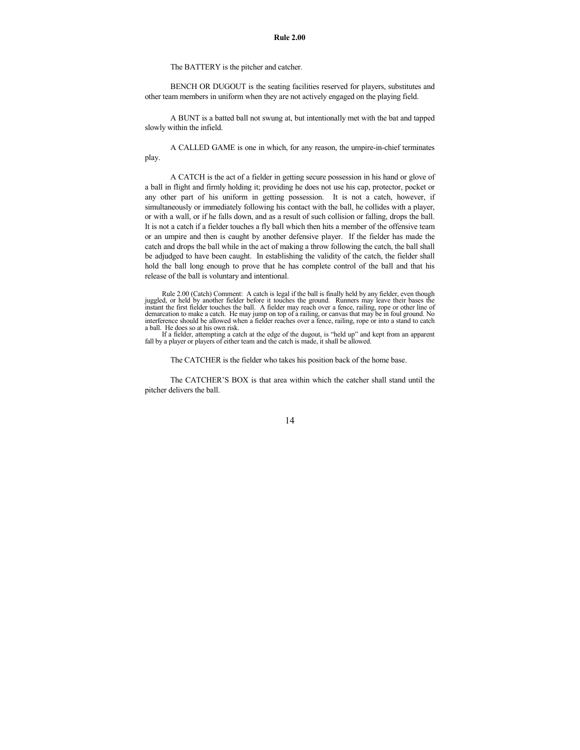The BATTERY is the pitcher and catcher.

 BENCH OR DUGOUT is the seating facilities reserved for players, substitutes and other team members in uniform when they are not actively engaged on the playing field.

 A BUNT is a batted ball not swung at, but intentionally met with the bat and tapped slowly within the infield.

 A CALLED GAME is one in which, for any reason, the umpire-in-chief terminates play.

 A CATCH is the act of a fielder in getting secure possession in his hand or glove of a ball in flight and firmly holding it; providing he does not use his cap, protector, pocket or any other part of his uniform in getting possession. It is not a catch, however, if simultaneously or immediately following his contact with the ball, he collides with a player, or with a wall, or if he falls down, and as a result of such collision or falling, drops the ball. It is not a catch if a fielder touches a fly ball which then hits a member of the offensive team or an umpire and then is caught by another defensive player. If the fielder has made the catch and drops the ball while in the act of making a throw following the catch, the ball shall be adjudged to have been caught. In establishing the validity of the catch, the fielder shall hold the ball long enough to prove that he has complete control of the ball and that his release of the ball is voluntary and intentional.

 Rule 2.00 (Catch) Comment: A catch is legal if the ball is finally held by any fielder, even though juggled, or held by another fielder before it touches the ground. Runners may leave their bases the instant the first fielder touches the ball. A fielder may reach over a fence, railing, rope or other line of demarcation to make a catch. He may jump on top of a railing, or canvas that may be in foul ground. No interference should be allowed when a fielder reaches over a fence, railing, rope or into a stand to catch a ball. He does so at his own risk.

 If a fielder, attempting a catch at the edge of the dugout, is "held up" and kept from an apparent fall by a player or players of either team and the catch is made, it shall be allowed.

The CATCHER is the fielder who takes his position back of the home base.

 The CATCHER'S BOX is that area within which the catcher shall stand until the pitcher delivers the ball.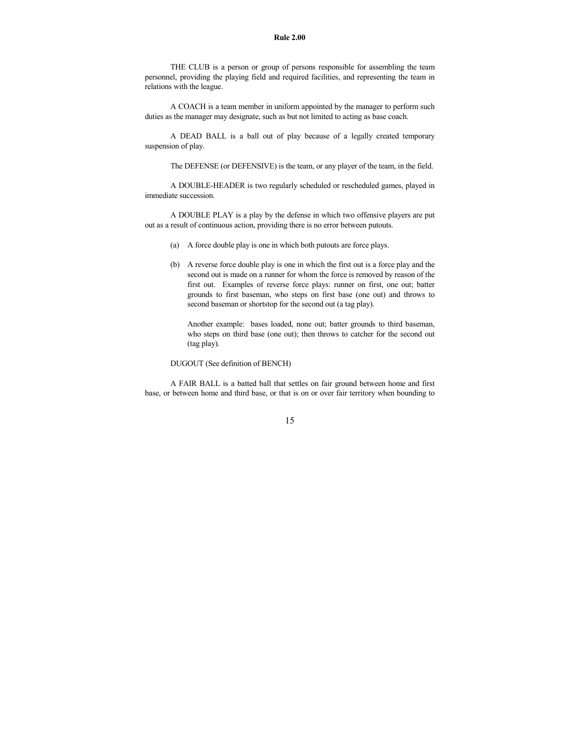THE CLUB is a person or group of persons responsible for assembling the team personnel, providing the playing field and required facilities, and representing the team in relations with the league.

 A COACH is a team member in uniform appointed by the manager to perform such duties as the manager may designate, such as but not limited to acting as base coach.

 A DEAD BALL is a ball out of play because of a legally created temporary suspension of play.

The DEFENSE (or DEFENSIVE) is the team, or any player of the team, in the field.

 A DOUBLE-HEADER is two regularly scheduled or rescheduled games, played in immediate succession.

 A DOUBLE PLAY is a play by the defense in which two offensive players are put out as a result of continuous action, providing there is no error between putouts.

- (a) A force double play is one in which both putouts are force plays.
- (b) A reverse force double play is one in which the first out is a force play and the second out is made on a runner for whom the force is removed by reason of the first out. Examples of reverse force plays: runner on first, one out; batter grounds to first baseman, who steps on first base (one out) and throws to second baseman or shortstop for the second out (a tag play).

 Another example: bases loaded, none out; batter grounds to third baseman, who steps on third base (one out); then throws to catcher for the second out (tag play).

DUGOUT (See definition of BENCH)

 A FAIR BALL is a batted ball that settles on fair ground between home and first base, or between home and third base, or that is on or over fair territory when bounding to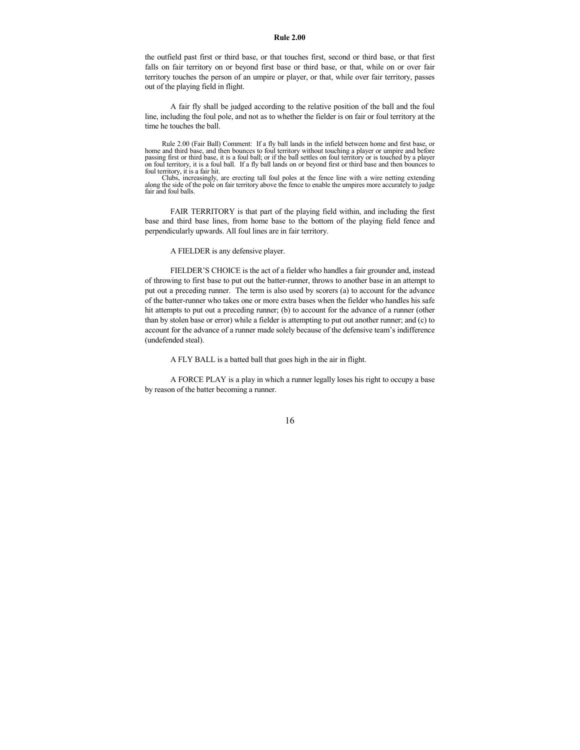the outfield past first or third base, or that touches first, second or third base, or that first falls on fair territory on or beyond first base or third base, or that, while on or over fair territory touches the person of an umpire or player, or that, while over fair territory, passes out of the playing field in flight.

 A fair fly shall be judged according to the relative position of the ball and the foul line, including the foul pole, and not as to whether the fielder is on fair or foul territory at the time he touches the ball.

 Rule 2.00 (Fair Ball) Comment: If a fly ball lands in the infield between home and first base, or home and third base, and then bounces to foul territory without touching a player or umpire and before passing first or third base, it is a foul ball; or if the ball settles on foul territory or is touched by a player on foul territory, it is a foul ball. If a fly ball lands on or beyond first or third base and then bounces to foul territory, it is a fair hit.

 Clubs, increasingly, are erecting tall foul poles at the fence line with a wire netting extending along the side of the pole on fair territory above the fence to enable the umpires more accurately to judge fair and foul balls.

 FAIR TERRITORY is that part of the playing field within, and including the first base and third base lines, from home base to the bottom of the playing field fence and perpendicularly upwards. All foul lines are in fair territory.

A FIELDER is any defensive player.

 FIELDER'S CHOICE is the act of a fielder who handles a fair grounder and, instead of throwing to first base to put out the batter-runner, throws to another base in an attempt to put out a preceding runner. The term is also used by scorers (a) to account for the advance of the batter-runner who takes one or more extra bases when the fielder who handles his safe hit attempts to put out a preceding runner; (b) to account for the advance of a runner (other than by stolen base or error) while a fielder is attempting to put out another runner; and (c) to account for the advance of a runner made solely because of the defensive team's indifference (undefended steal).

A FLY BALL is a batted ball that goes high in the air in flight.

 A FORCE PLAY is a play in which a runner legally loses his right to occupy a base by reason of the batter becoming a runner.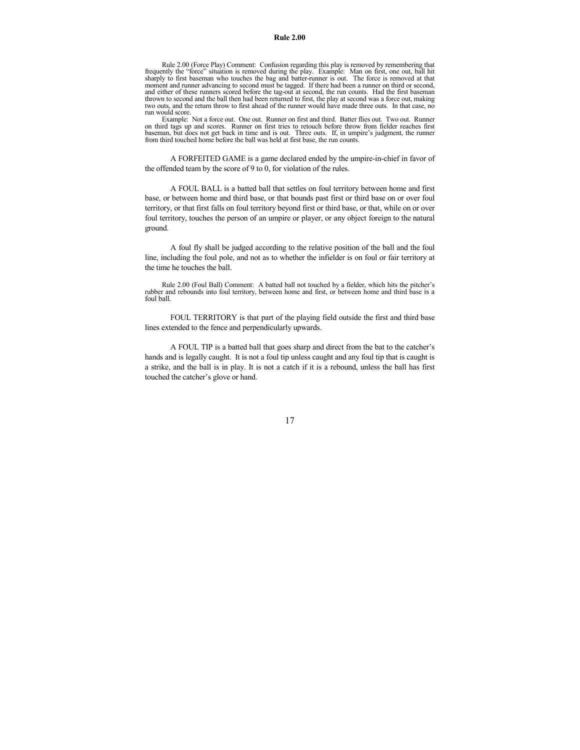Rule 2.00 (Force Play) Comment: Confusion regarding this play is removed by remembering that frequently the "force" situation is removed during the play. Example: Man on first, one out, ball hit sharply to first baseman who touches the bag and batter-runner is out. The force is removed at that sharply to first baseman who touches the bag and batter-runner is out. moment and runner advancing to second must be tagged. If there had been a runner on third or second, and either of these runners scored before the tag-out at second, the run counts. Had the first baseman thrown to second and the ball then had been returned to first, the play at second was a force out, making two outs, and the return throw to first ahead of the runner would have made three outs. In that case, no run would score.

 Example: Not a force out. One out. Runner on first and third. Batter flies out. Two out. Runner on third tags up and scores. Runner on first tries to retouch before throw from fielder reaches first baseman, but does not get back in time and is out. Three outs. If, in umpire's judgment, the runner from third touched home before the ball was held at first base, the run counts.

 A FORFEITED GAME is a game declared ended by the umpire-in-chief in favor of the offended team by the score of 9 to 0, for violation of the rules.

 A FOUL BALL is a batted ball that settles on foul territory between home and first base, or between home and third base, or that bounds past first or third base on or over foul territory, or that first falls on foul territory beyond first or third base, or that, while on or over foul territory, touches the person of an umpire or player, or any object foreign to the natural ground.

 A foul fly shall be judged according to the relative position of the ball and the foul line, including the foul pole, and not as to whether the infielder is on foul or fair territory at the time he touches the ball.

 Rule 2.00 (Foul Ball) Comment: A batted ball not touched by a fielder, which hits the pitcher's rubber and rebounds into foul territory, between home and first, or between home and third base is a foul ball.

 FOUL TERRITORY is that part of the playing field outside the first and third base lines extended to the fence and perpendicularly upwards.

 A FOUL TIP is a batted ball that goes sharp and direct from the bat to the catcher's hands and is legally caught. It is not a foul tip unless caught and any foul tip that is caught is a strike, and the ball is in play. It is not a catch if it is a rebound, unless the ball has first touched the catcher's glove or hand.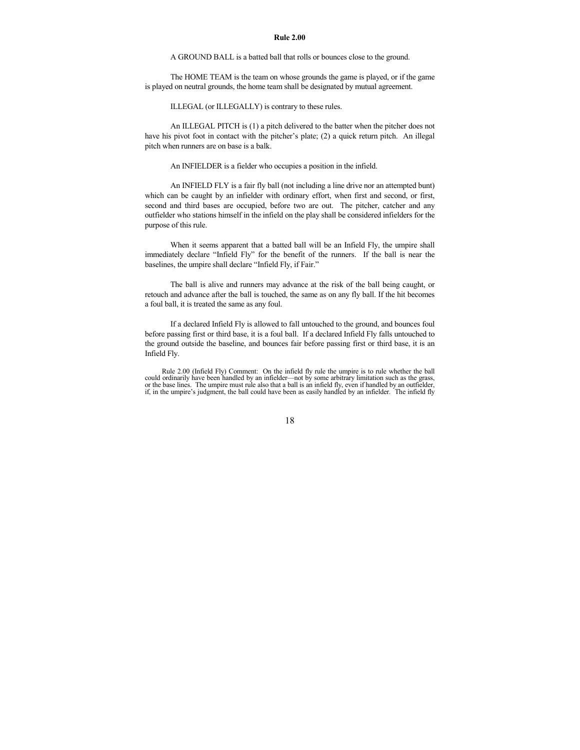A GROUND BALL is a batted ball that rolls or bounces close to the ground.

 The HOME TEAM is the team on whose grounds the game is played, or if the game is played on neutral grounds, the home team shall be designated by mutual agreement.

ILLEGAL (or ILLEGALLY) is contrary to these rules.

 An ILLEGAL PITCH is (1) a pitch delivered to the batter when the pitcher does not have his pivot foot in contact with the pitcher's plate; (2) a quick return pitch. An illegal pitch when runners are on base is a balk.

An INFIELDER is a fielder who occupies a position in the infield.

 An INFIELD FLY is a fair fly ball (not including a line drive nor an attempted bunt) which can be caught by an infielder with ordinary effort, when first and second, or first, second and third bases are occupied, before two are out. The pitcher, catcher and any outfielder who stations himself in the infield on the play shall be considered infielders for the purpose of this rule.

 When it seems apparent that a batted ball will be an Infield Fly, the umpire shall immediately declare "Infield Fly" for the benefit of the runners. If the ball is near the baselines, the umpire shall declare "Infield Fly, if Fair."

 The ball is alive and runners may advance at the risk of the ball being caught, or retouch and advance after the ball is touched, the same as on any fly ball. If the hit becomes a foul ball, it is treated the same as any foul.

 If a declared Infield Fly is allowed to fall untouched to the ground, and bounces foul before passing first or third base, it is a foul ball. If a declared Infield Fly falls untouched to the ground outside the baseline, and bounces fair before passing first or third base, it is an Infield Fly.

 Rule 2.00 (Infield Fly) Comment: On the infield fly rule the umpire is to rule whether the ball could ordinarily have been handled by an infielder—not by some arbitrary limitation such as the grass, or the base lines. The umpire must rule also that a ball is an infield fly, even if handled by an outfielder, if, in the umpire's judgment, the ball could have been as easily handled by an infielder. The infield fly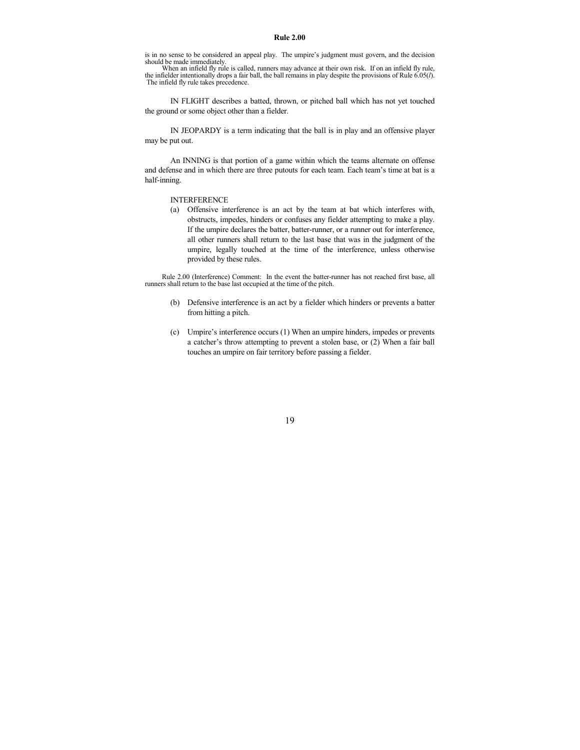is in no sense to be considered an appeal play. The umpire's judgment must govern, and the decision should be made immediately.

When an infield fly rule is called, runners may advance at their own risk. If on an infield fly rule, the infielder intentionally drops a fair ball, the ball remains in play despite the provisions of Rule 6.05(l). The infield fly rule takes precedence.

 IN FLIGHT describes a batted, thrown, or pitched ball which has not yet touched the ground or some object other than a fielder.

 IN JEOPARDY is a term indicating that the ball is in play and an offensive player may be put out.

 An INNING is that portion of a game within which the teams alternate on offense and defense and in which there are three putouts for each team. Each team's time at bat is a half-inning.

# INTERFERENCE

 (a) Offensive interference is an act by the team at bat which interferes with, obstructs, impedes, hinders or confuses any fielder attempting to make a play. If the umpire declares the batter, batter-runner, or a runner out for interference, all other runners shall return to the last base that was in the judgment of the umpire, legally touched at the time of the interference, unless otherwise provided by these rules.

 Rule 2.00 (Interference) Comment: In the event the batter-runner has not reached first base, all runners shall return to the base last occupied at the time of the pitch.

- (b) Defensive interference is an act by a fielder which hinders or prevents a batter from hitting a pitch.
- (c) Umpire's interference occurs (1) When an umpire hinders, impedes or prevents a catcher's throw attempting to prevent a stolen base, or (2) When a fair ball touches an umpire on fair territory before passing a fielder.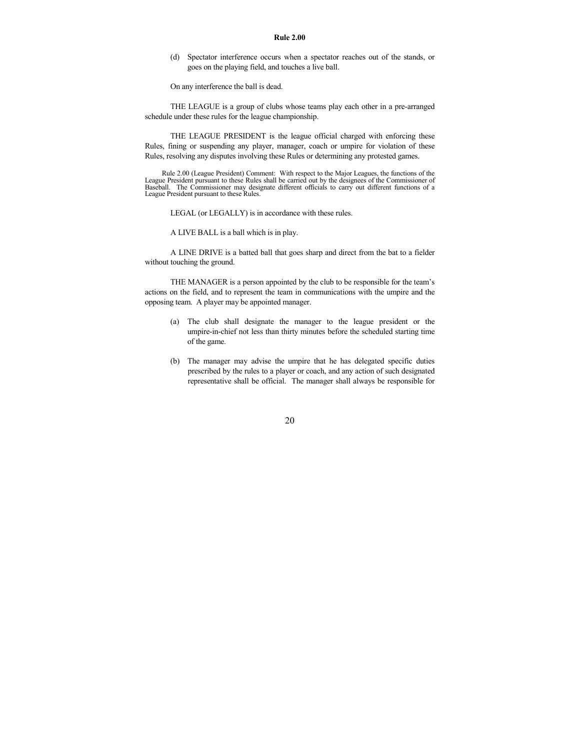(d) Spectator interference occurs when a spectator reaches out of the stands, or goes on the playing field, and touches a live ball.

On any interference the ball is dead.

 THE LEAGUE is a group of clubs whose teams play each other in a pre-arranged schedule under these rules for the league championship.

 THE LEAGUE PRESIDENT is the league official charged with enforcing these Rules, fining or suspending any player, manager, coach or umpire for violation of these Rules, resolving any disputes involving these Rules or determining any protested games.

 Rule 2.00 (League President) Comment: With respect to the Major Leagues, the functions of the League President pursuant to these Rules shall be carried out by the designees of the Commissioner of Baseball. The Commissioner may designate different officials to carry out different functions of a League President pursuant to these Rules.

LEGAL (or LEGALLY) is in accordance with these rules.

A LIVE BALL is a ball which is in play.

 A LINE DRIVE is a batted ball that goes sharp and direct from the bat to a fielder without touching the ground.

 THE MANAGER is a person appointed by the club to be responsible for the team's actions on the field, and to represent the team in communications with the umpire and the opposing team. A player may be appointed manager.

- (a) The club shall designate the manager to the league president or the umpire-in-chief not less than thirty minutes before the scheduled starting time of the game.
- (b) The manager may advise the umpire that he has delegated specific duties prescribed by the rules to a player or coach, and any action of such designated representative shall be official. The manager shall always be responsible for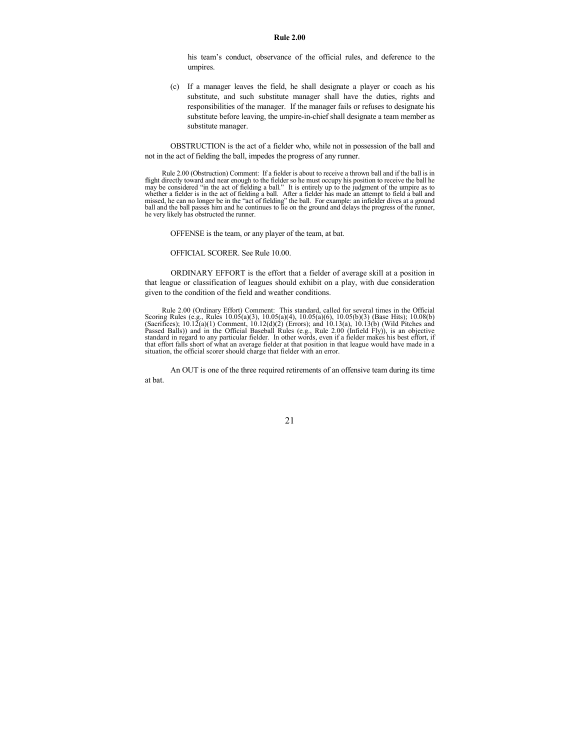his team's conduct, observance of the official rules, and deference to the umpires.

 (c) If a manager leaves the field, he shall designate a player or coach as his substitute, and such substitute manager shall have the duties, rights and responsibilities of the manager. If the manager fails or refuses to designate his substitute before leaving, the umpire-in-chief shall designate a team member as substitute manager.

 OBSTRUCTION is the act of a fielder who, while not in possession of the ball and not in the act of fielding the ball, impedes the progress of any runner.

 Rule 2.00 (Obstruction) Comment: If a fielder is about to receive a thrown ball and if the ball is in flight directly toward and near enough to the fielder so he must occupy his position to receive the ball he may be considered "in the act of fielding a ball." It is entirely up to the judgment of the umpire as to whether a fielder is in the act of fielding a ball. After a fielder has made an attempt to field a ball and missed, he can no longer be in the "act of fielding" the ball. For example: an infielder dives at a ground ball and the ball passes him and he continues to lie on the ground and delays the progress of the runner, he very likely has obstructed the runner.

OFFENSE is the team, or any player of the team, at bat.

OFFICIAL SCORER. See Rule 10.00.

ORDINARY EFFORT is the effort that a fielder of average skill at a position in that league or classification of leagues should exhibit on a play, with due consideration given to the condition of the field and weather conditions.

 Rule 2.00 (Ordinary Effort) Comment: This standard, called for several times in the Official Scoring Rules (e.g., Rules 10.05(a)(3), 10.05(a)(4), 10.05(a)(6), 10.05(b)(3) (Base Hits); 10.08(b) (Sacrifices);  $10.12(a)(1)$  Comment,  $10.12(d)(2)$  (Errors); and  $10.13(a)$ ,  $10.13(b)$  (Wild Pitches and Passed Balls)) and in the Official Baseball Rules (e.g., Rule 2.00 (Infield Fly)), is an objective standard in regard to any particular fielder. In other words, even if a fielder makes his best effort, if that effort falls short of what an average fielder at that position in that league would have made in a situation, the official scorer should charge that fielder with an error.

 An OUT is one of the three required retirements of an offensive team during its time at bat.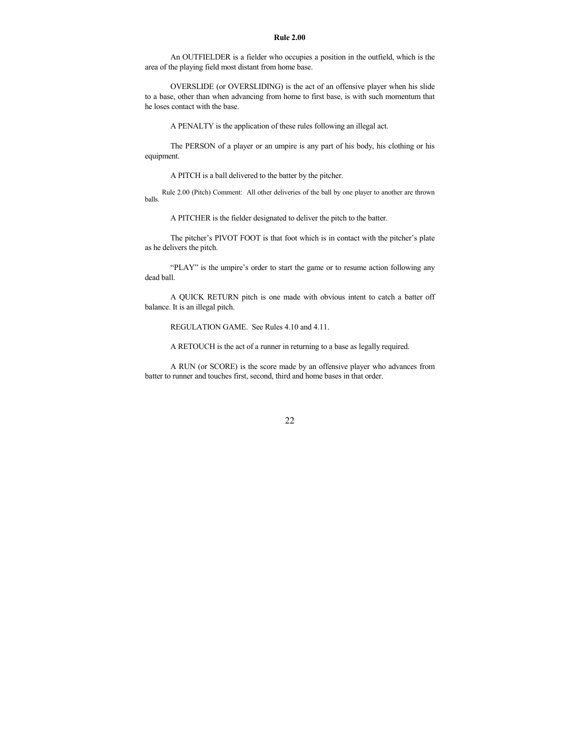An OUTFIELDER is a fielder who occupies a position in the outfield, which is the area of the playing field most distant from home base.

 OVERSLIDE (or OVERSLIDING) is the act of an offensive player when his slide to a base, other than when advancing from home to first base, is with such momentum that he loses contact with the base.

A PENALTY is the application of these rules following an illegal act.

 The PERSON of a player or an umpire is any part of his body, his clothing or his equipment.

A PITCH is a ball delivered to the batter by the pitcher.

 Rule 2.00 (Pitch) Comment: All other deliveries of the ball by one player to another are thrown balls.

A PITCHER is the fielder designated to deliver the pitch to the batter.

 The pitcher's PIVOT FOOT is that foot which is in contact with the pitcher's plate as he delivers the pitch.

 "PLAY" is the umpire's order to start the game or to resume action following any dead ball.

 A QUICK RETURN pitch is one made with obvious intent to catch a batter off balance. It is an illegal pitch.

REGULATION GAME. See Rules 4.10 and 4.11.

A RETOUCH is the act of a runner in returning to a base as legally required.

 A RUN (or SCORE) is the score made by an offensive player who advances from batter to runner and touches first, second, third and home bases in that order.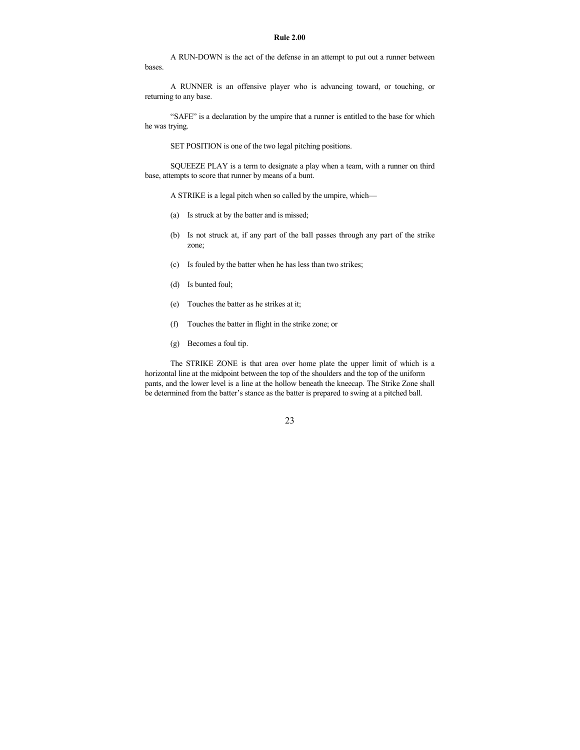A RUN-DOWN is the act of the defense in an attempt to put out a runner between bases.

 A RUNNER is an offensive player who is advancing toward, or touching, or returning to any base.

 "SAFE" is a declaration by the umpire that a runner is entitled to the base for which he was trying.

SET POSITION is one of the two legal pitching positions.

 SQUEEZE PLAY is a term to designate a play when a team, with a runner on third base, attempts to score that runner by means of a bunt.

A STRIKE is a legal pitch when so called by the umpire, which—

- (a) Is struck at by the batter and is missed;
- (b) Is not struck at, if any part of the ball passes through any part of the strike zone;
- (c) Is fouled by the batter when he has less than two strikes;
- (d) Is bunted foul;
- (e) Touches the batter as he strikes at it;
- (f) Touches the batter in flight in the strike zone; or
- (g) Becomes a foul tip.

 The STRIKE ZONE is that area over home plate the upper limit of which is a horizontal line at the midpoint between the top of the shoulders and the top of the uniform pants, and the lower level is a line at the hollow beneath the kneecap. The Strike Zone shall be determined from the batter's stance as the batter is prepared to swing at a pitched ball.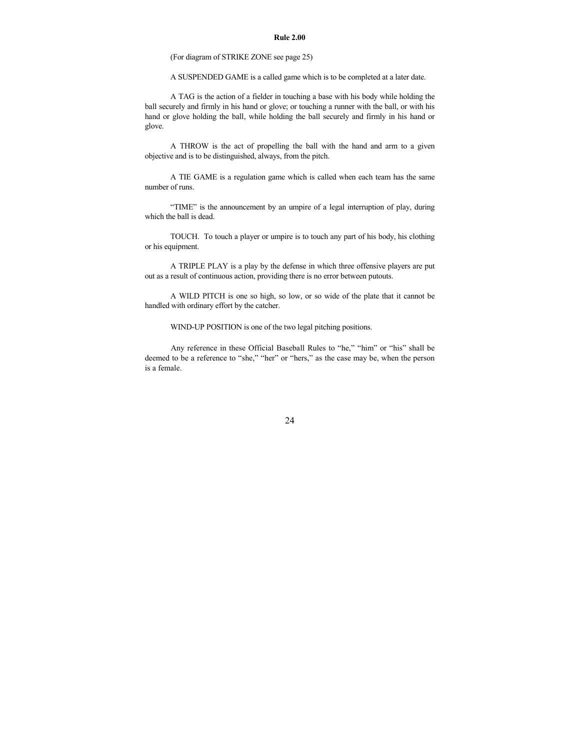(For diagram of STRIKE ZONE see page 25)

A SUSPENDED GAME is a called game which is to be completed at a later date.

 A TAG is the action of a fielder in touching a base with his body while holding the ball securely and firmly in his hand or glove; or touching a runner with the ball, or with his hand or glove holding the ball, while holding the ball securely and firmly in his hand or glove.

 A THROW is the act of propelling the ball with the hand and arm to a given objective and is to be distinguished, always, from the pitch.

 A TIE GAME is a regulation game which is called when each team has the same number of runs.

 "TIME" is the announcement by an umpire of a legal interruption of play, during which the ball is dead.

 TOUCH. To touch a player or umpire is to touch any part of his body, his clothing or his equipment.

 A TRIPLE PLAY is a play by the defense in which three offensive players are put out as a result of continuous action, providing there is no error between putouts.

 A WILD PITCH is one so high, so low, or so wide of the plate that it cannot be handled with ordinary effort by the catcher.

WIND-UP POSITION is one of the two legal pitching positions.

Any reference in these Official Baseball Rules to "he," "him" or "his" shall be deemed to be a reference to "she," "her" or "hers," as the case may be, when the person is a female.